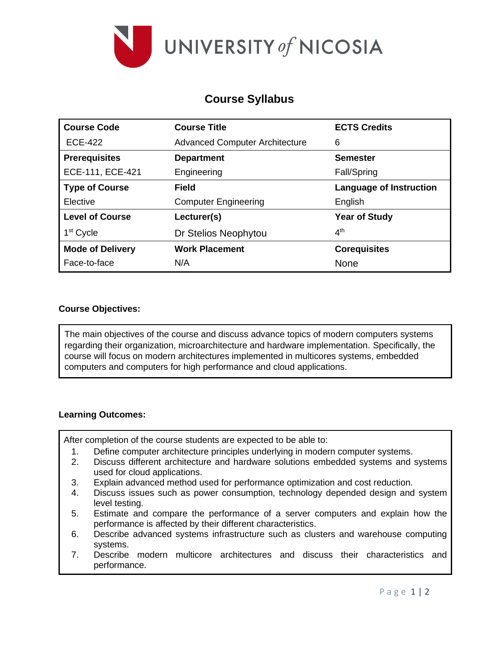

# **Course Syllabus**

| <b>Course Code</b>      | <b>Course Title</b>                   | <b>ECTS Credits</b>            |
|-------------------------|---------------------------------------|--------------------------------|
| <b>ECE-422</b>          | <b>Advanced Computer Architecture</b> | 6                              |
| <b>Prerequisites</b>    | <b>Department</b>                     | <b>Semester</b>                |
| ECE-111, ECE-421        | Engineering                           | Fall/Spring                    |
| <b>Type of Course</b>   | <b>Field</b>                          | <b>Language of Instruction</b> |
| Elective                | <b>Computer Engineering</b>           | English                        |
| <b>Level of Course</b>  | Lecturer(s)                           | <b>Year of Study</b>           |
| 1 <sup>st</sup> Cycle   | Dr Stelios Neophytou                  | 4 <sup>th</sup>                |
| <b>Mode of Delivery</b> | <b>Work Placement</b>                 | <b>Corequisites</b>            |
| Face-to-face            | N/A                                   | <b>None</b>                    |

## **Course Objectives:**

The main objectives of the course and discuss advance topics of modern computers systems regarding their organization, microarchitecture and hardware implementation. Specifically, the course will focus on modern architectures implemented in multicores systems, embedded computers and computers for high performance and cloud applications.

## **Learning Outcomes:**

After completion of the course students are expected to be able to:

- 1. Define computer architecture principles underlying in modern computer systems.
- 2. Discuss different architecture and hardware solutions embedded systems and systems used for cloud applications.
- 3. Explain advanced method used for performance optimization and cost reduction.
- 4. Discuss issues such as power consumption, technology depended design and system level testing.
- 5. Estimate and compare the performance of a server computers and explain how the performance is affected by their different characteristics.
- 6. Describe advanced systems infrastructure such as clusters and warehouse computing systems.
- 7. Describe modern multicore architectures and discuss their characteristics and performance.